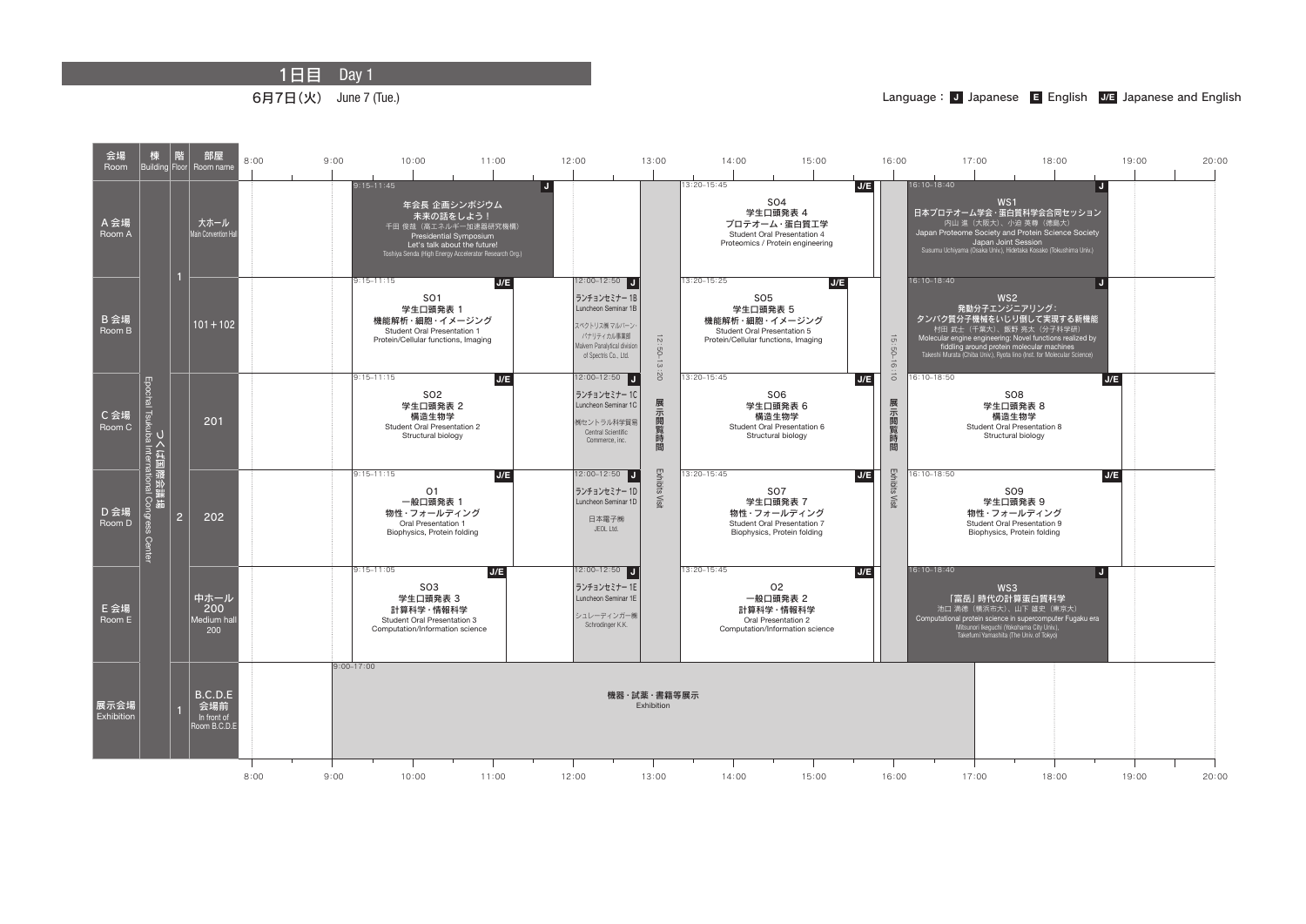1日目 Day 1



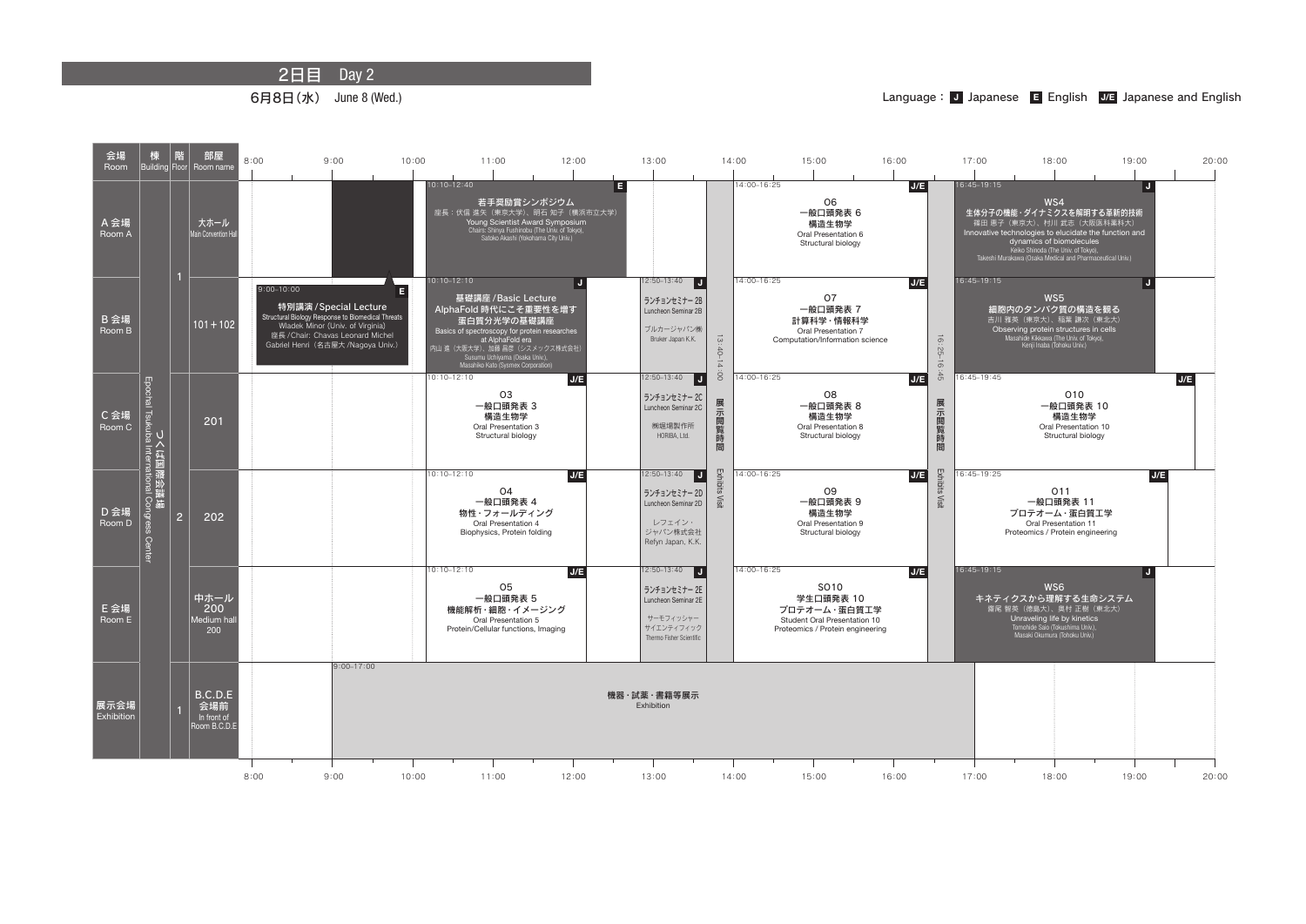2日目 Day 2

6月8日(水) June 8 (Wed.)



## Language: J Japanese **E** English J/E Japanese and English